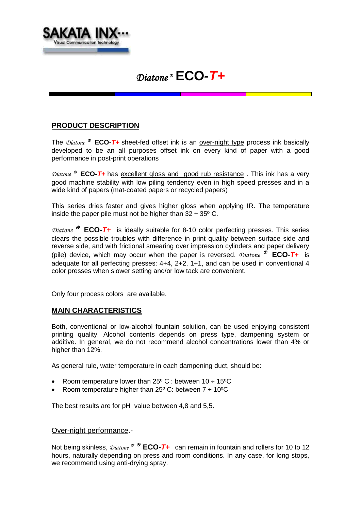

# *Diatone* **ECO***-T+*

## **PRODUCT DESCRIPTION**

The  $\mathcal{D}_{\text{in}^{2}}$  **ECO**-T+ sheet-fed offset ink is an over-night type process ink basically developed to be an all purposes offset ink on every kind of paper with a good performance in post-print operations

*Diatone* <sup>®</sup> ECO-T+ has excellent gloss and good rub resistance. This ink has a very good machine stability with low piling tendency even in high speed presses and in a wide kind of papers (mat-coated papers or recycled papers)

This series dries faster and gives higher gloss when applying IR. The temperature inside the paper pile must not be higher than  $32 \div 35^{\circ}$  C.

*Diatone* <sup>®</sup> **ECO-T+** is ideally suitable for 8-10 color perfecting presses. This series clears the possible troubles with difference in print quality between surface side and reverse side, and with frictional smearing over impression cylinders and paper delivery (pile) device, which may occur when the paper is reversed.  $Distance \, \odot$  **ECO**-T+ is adequate for all perfecting presses:  $4+4$ ,  $2+2$ ,  $1+1$ , and can be used in conventional 4 color presses when slower setting and/or low tack are convenient.

Only four process colors are available.

### **MAIN CHARACTERISTICS**

Both, conventional or low-alcohol fountain solution, can be used enjoying consistent printing quality. Alcohol contents depends on press type, dampening system or additive. In general, we do not recommend alcohol concentrations lower than 4% or higher than 12%.

As general rule, water temperature in each dampening duct, should be:

- Room temperature lower than  $25^{\circ}$  C : between  $10 \div 15^{\circ}$ C
- Room temperature higher than  $25^{\circ}$  C: between  $7 \div 10^{\circ}$ C

The best results are for pH value between 4,8 and 5,5.

### Over-night performance.-

Not being skinless,  $\text{Diaton}_e \otimes \text{ECO-} \textbf{I}$  can remain in fountain and rollers for 10 to 12 hours, naturally depending on press and room conditions. In any case, for long stops, we recommend using anti-drying spray.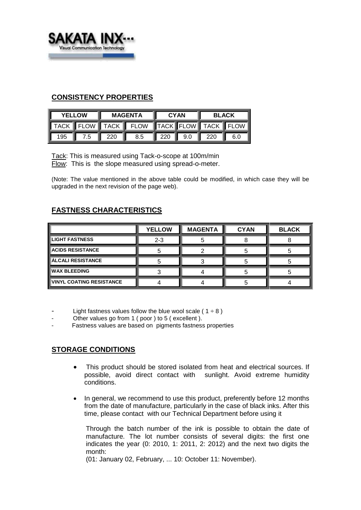

## **CONSISTENCY PROPERTIES**

| <b>YELLOW</b> |     | <b>MAGENTA</b>     |                                         | <b>CYAN</b>                     |  | <b>BLACK</b>       |     |
|---------------|-----|--------------------|-----------------------------------------|---------------------------------|--|--------------------|-----|
|               |     |                    | TACK FLOW TACK FLOW TACK FLOW TACK FLOW |                                 |  |                    |     |
| 195           | 7.5 | $\blacksquare$ 220 | 8.5                                     | $\parallel$ 220 $\parallel$ 9.0 |  | $\blacksquare$ 220 | 6.0 |

Tack: This is measured using Tack-o-scope at 100m/min Flow: This is the slope measured using spread-o-meter.

(Note: The value mentioned in the above table could be modified, in which case they will be upgraded in the next revision of the page web).

# **FASTNESS CHARACTERISTICS**

|                                 | <b>YELLOW</b> | <b>MAGENTA</b> | <b>CYAN</b> | <b>BLACK</b> |
|---------------------------------|---------------|----------------|-------------|--------------|
| <b>LIGHT FASTNESS</b>           | $2 - 3$       |                |             |              |
| <b>ACIDS RESISTANCE</b>         |               |                |             |              |
| ∥ÁLCALI RESISTANCE              |               |                |             |              |
| <b>WAX BLEEDING</b>             |               |                |             |              |
| <b>VINYL COATING RESISTANCE</b> |               |                |             |              |

Light fastness values follow the blue wool scale (  $1 \div 8$  )

- Other values go from 1 ( poor ) to 5 ( excellent ).
- Fastness values are based on pigments fastness properties

## **STORAGE CONDITIONS**

- This product should be stored isolated from heat and electrical sources. If possible, avoid direct contact with sunlight. Avoid extreme humidity conditions.
- In general, we recommend to use this product, preferently before 12 months from the date of manufacture, particularly in the case of black inks. After this time, please contact with our Technical Department before using it

Through the batch number of the ink is possible to obtain the date of manufacture. The lot number consists of several digits: the first one indicates the year (0: 2010, 1: 2011, 2: 2012) and the next two digits the month:

(01: January 02, February, ... 10: October 11: November).